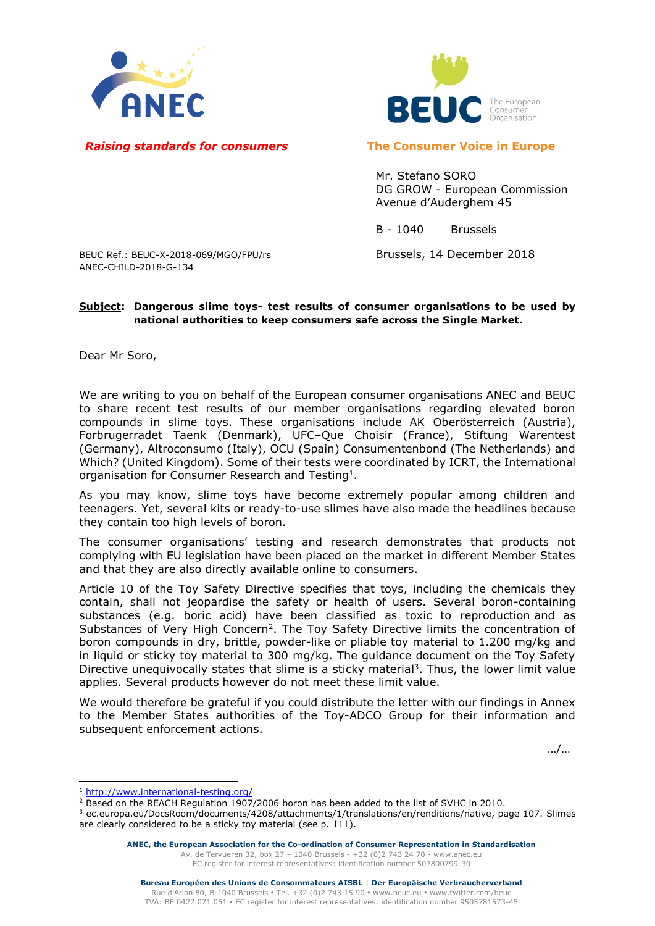



## *Raising standards for consumers* **The Consumer Voice in Europe**

Mr. Stefano SORO DG GROW - European Commission Avenue d'Auderghem 45

B - 1040 Brussels

## BEUC Ref.: BEUC-X-2018-069/MGO/FPU/rs Brussels, 14 December 2018 ANEC-CHILD-2018-G-134

## **Subject: Dangerous slime toys- test results of consumer organisations to be used by national authorities to keep consumers safe across the Single Market.**

Dear Mr Soro,

We are writing to you on behalf of the European consumer organisations ANEC and BEUC to share recent test results of our member organisations regarding elevated boron compounds in slime toys. These organisations include AK Oberösterreich (Austria), Forbrugerradet Taenk (Denmark), UFC–Que Choisir (France), Stiftung Warentest (Germany), Altroconsumo (Italy), OCU (Spain) Consumentenbond (The Netherlands) and Which? (United Kingdom). Some of their tests were coordinated by ICRT, the International organisation for Consumer Research and Testing<sup>1</sup>.

As you may know, slime toys have become extremely popular among children and teenagers. Yet, several kits or ready-to-use slimes have also made the headlines because they contain too high levels of boron.

The consumer organisations' testing and research demonstrates that products not complying with EU legislation have been placed on the market in different Member States and that they are also directly available online to consumers.

Article 10 of the Toy Safety Directive specifies that toys, including the chemicals they contain, shall not jeopardise the safety or health of users. Several boron-containing substances (e.g. boric acid) have been classified as toxic to reproduction and as Substances of Very High Concern<sup>2</sup>. The Toy Safety Directive limits the concentration of boron compounds in dry, brittle, powder-like or pliable toy material to 1.200 mg/kg and in liquid or sticky toy material to 300 mg/kg. The guidance document on the Toy Safety Directive unequivocally states that slime is a sticky material<sup>3</sup>. Thus, the lower limit value applies. Several products however do not meet these limit value.

We would therefore be grateful if you could distribute the letter with our findings in Annex to the Member States authorities of the Toy-ADCO Group for their information and subsequent enforcement actions.

…/…

<sup>-</sup><sup>1</sup> <http://www.international-testing.org/>

<sup>&</sup>lt;sup>2</sup> Based on the REACH Regulation 1907/2006 boron has been added to the list of SVHC in 2010.

<sup>3</sup> ec.europa.eu/DocsRoom/documents/4208/attachments/1/translations/en/renditions/native, page 107. Slimes are clearly considered to be a sticky toy material (see p. 111).

**ANEC, the European Association for the Co-ordination of Consumer Representation in Standardisation** Av. de Tervueren 32, box 27 – 1040 Brussels - +32 (0)2 743 24 70 - [www.anec.eu](http://www.anec.eu/) [EC register for interest representatives:](https://webgate.ec.europa.eu/transparency/regrin/welcome.do?locale=en#en) identification number 507800799-30